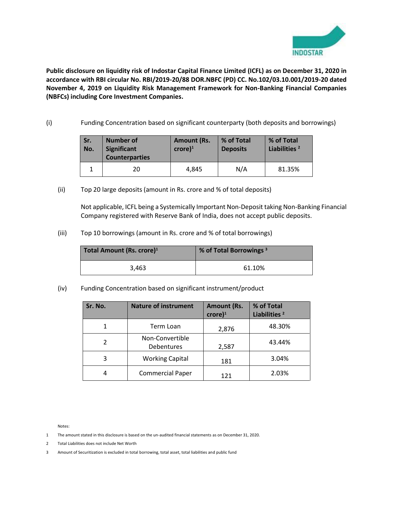

**Public disclosure on liquidity risk of Indostar Capital Finance Limited (ICFL) as on December 31, 2020 in accordance with RBI circular No. RBI/2019-20/88 DOR.NBFC (PD) CC. No.102/03.10.001/2019-20 dated November 4, 2019 on Liquidity Risk Management Framework for Non-Banking Financial Companies (NBFCs) including Core Investment Companies.** 

(i) Funding Concentration based on significant counterparty (both deposits and borrowings)

| Sr.<br>No. | <b>Number of</b><br><b>Significant</b><br><b>Counterparties</b> | <b>Amount (Rs.</b><br>$core)^1$ | % of Total<br><b>Deposits</b> | % of Total<br>Liabilities <sup>2</sup> |
|------------|-----------------------------------------------------------------|---------------------------------|-------------------------------|----------------------------------------|
|            | 20                                                              | 4.845                           | N/A                           | 81.35%                                 |

(ii) Top 20 large deposits (amount in Rs. crore and % of total deposits)

Not applicable, ICFL being a Systemically Important Non-Deposit taking Non-Banking Financial Company registered with Reserve Bank of India, does not accept public deposits.

(iii) Top 10 borrowings (amount in Rs. crore and % of total borrowings)

| Total Amount (Rs. crore) <sup>1</sup> | % of Total Borrowings <sup>3</sup> |
|---------------------------------------|------------------------------------|
| 3.463                                 | 61.10%                             |

(iv) Funding Concentration based on significant instrument/product

| Sr. No. | <b>Nature of instrument</b>   | <b>Amount (Rs.</b><br>$\text{core}$ <sup>1</sup> | % of Total<br>Liabilities <sup>2</sup> |
|---------|-------------------------------|--------------------------------------------------|----------------------------------------|
|         | Term Loan                     | 2,876                                            | 48.30%                                 |
|         | Non-Convertible<br>Debentures | 2,587                                            | 43.44%                                 |
| 3       | <b>Working Capital</b>        | 181                                              | 3.04%                                  |
|         | <b>Commercial Paper</b>       | 121                                              | 2.03%                                  |

Notes:

- 1 The amount stated in this disclosure is based on the un-audited financial statements as on December 31, 2020.
- 2 Total Liabilities does not include Net Worth
- 3 Amount of Securitization is excluded in total borrowing, total asset, total liabilities and public fund